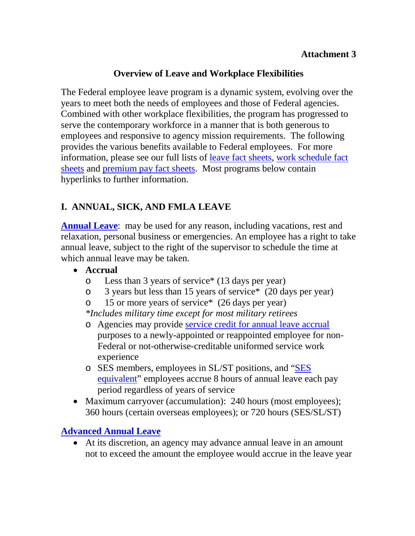# **Overview of Leave and Workplace Flexibilities**

The Federal employee leave program is a dynamic system, evolving over the years to meet both the needs of employees and those of Federal agencies. Combined with other workplace flexibilities, the program has progressed to serve the contemporary workforce in a manner that is both generous to employees and responsive to agency mission requirements. The following provides the various benefits available to Federal employees. For more information, please see our full lists of [leave fact sheets,](http://www.opm.gov/policy-data-oversight/pay-leave/leave-administration/#url=Fact-Sheets) [work schedule fact](http://www.opm.gov/policy-data-oversight/pay-leave/work-schedules/)  [sheets](http://www.opm.gov/policy-data-oversight/pay-leave/work-schedules/) and [premium pay fact sheets.](http://www.opm.gov/policy-data-oversight/pay-leave/pay-administration/#url=Fact-Sheets) Most programs below contain hyperlinks to further information.

# **I. ANNUAL, SICK, AND FMLA LEAVE**

**[Annual Leave](http://www.opm.gov/policy-data-oversight/pay-leave/leave-administration/fact-sheets/annual-leave/)**: may be used for any reason, including vacations, rest and relaxation, personal business or emergencies. An employee has a right to take annual leave, subject to the right of the supervisor to schedule the time at which annual leave may be taken.

- **Accrual**
	- o Less than 3 years of service\* (13 days per year)
	- o 3 years but less than 15 years of service\* (20 days per year)
	- o 15 or more years of service\* (26 days per year)

*\*Includes military time except for most military retirees*

- o Agencies may provide [service credit for annual leave accrual](http://www.opm.gov/policy-data-oversight/pay-leave/leave-administration/fact-sheets/creditable-service-for-annual-leave-accrual-for-non-federal-work-experience-and-experience-in-the-uniformed-service/) purposes to a newly-appointed or reappointed employee for non-Federal or not-otherwise-creditable uniformed service work experience
- o SES members, employees in SL/ST positions, and ["SES](http://www.opm.gov/policy-data-oversight/pay-leave/leave-administration/fact-sheets/extension-of-higher-annual-leave-accrual-rate-to-ses-and-slst-equivalent-pay-systems/)  [equivalent"](http://www.opm.gov/policy-data-oversight/pay-leave/leave-administration/fact-sheets/extension-of-higher-annual-leave-accrual-rate-to-ses-and-slst-equivalent-pay-systems/) employees accrue 8 hours of annual leave each pay period regardless of years of service
- Maximum carryover (accumulation): 240 hours (most employees); 360 hours (certain overseas employees); or 720 hours (SES/SL/ST)

**[Advanced Annual Leave](http://www.opm.gov/policy-data-oversight/pay-leave/leave-administration/fact-sheets/advanced-annual-leave/)**

• At its discretion, an agency may advance annual leave in an amount not to exceed the amount the employee would accrue in the leave year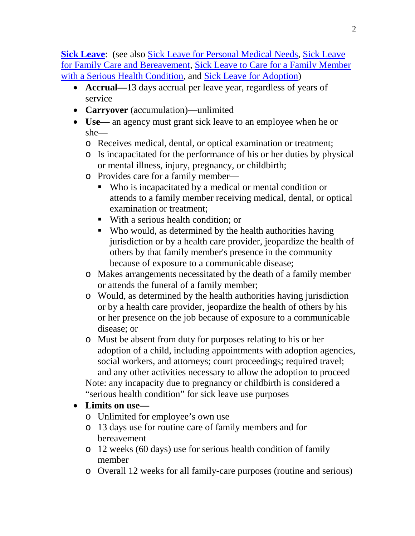**[Sick Leave](http://www.opm.gov/policy-data-oversight/pay-leave/leave-administration/fact-sheets/sick-leave-general-information/)**: (see also [Sick Leave for Personal Medical Needs,](http://www.opm.gov/policy-data-oversight/pay-leave/leave-administration/fact-sheets/personal-sick-leave/) [Sick Leave](http://www.opm.gov/policy-data-oversight/pay-leave/leave-administration/fact-sheets/sick-leave-for-family-care-or-bereavement-purposes/)  [for Family Care and Bereavement,](http://www.opm.gov/policy-data-oversight/pay-leave/leave-administration/fact-sheets/sick-leave-for-family-care-or-bereavement-purposes/) [Sick Leave to Care for a Family Member](http://www.opm.gov/policy-data-oversight/pay-leave/leave-administration/fact-sheets/sick-leave-to-care-for-a-family-member-with-a-serious-health-condition/)  [with a Serious Health Condition,](http://www.opm.gov/policy-data-oversight/pay-leave/leave-administration/fact-sheets/sick-leave-to-care-for-a-family-member-with-a-serious-health-condition/) and [Sick Leave for Adoption\)](http://www.opm.gov/policy-data-oversight/pay-leave/leave-administration/fact-sheets/sick-leave-for-adoption/)

- **Accrual—**13 days accrual per leave year, regardless of years of service
- **Carryover** (accumulation)—unlimited
- **Use—** an agency must grant sick leave to an employee when he or she
	- o Receives medical, dental, or optical examination or treatment;
	- o Is incapacitated for the performance of his or her duties by physical or mental illness, injury, pregnancy, or childbirth;
	- o Provides care for a family member—
		- Who is incapacitated by a medical or mental condition or attends to a family member receiving medical, dental, or optical examination or treatment;
		- With a serious health condition; or
		- Who would, as determined by the health authorities having jurisdiction or by a health care provider, jeopardize the health of others by that family member's presence in the community because of exposure to a communicable disease;
	- o Makes arrangements necessitated by the death of a family member or attends the funeral of a family member;
	- o Would, as determined by the health authorities having jurisdiction or by a health care provider, jeopardize the health of others by his or her presence on the job because of exposure to a communicable disease; or
	- o Must be absent from duty for purposes relating to his or her adoption of a child, including appointments with adoption agencies, social workers, and attorneys; court proceedings; required travel; and any other activities necessary to allow the adoption to proceed Note: any incapacity due to pregnancy or childbirth is considered a "serious health condition" for sick leave use purposes
- **Limits on use**
	- o Unlimited for employee's own use
	- o 13 days use for routine care of family members and for bereavement
	- o 12 weeks (60 days) use for serious health condition of family member
	- o Overall 12 weeks for all family-care purposes (routine and serious)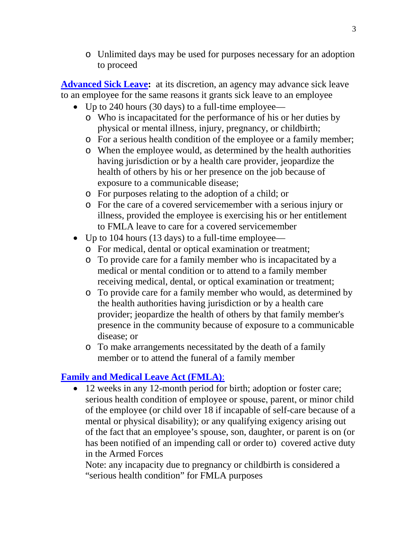o Unlimited days may be used for purposes necessary for an adoption to proceed

**[Advanced Sick Leave:](http://www.opm.gov/policy-data-oversight/pay-leave/leave-administration/fact-sheets/advanced-sick-leave/)** at its discretion, an agency may advance sick leave to an employee for the same reasons it grants sick leave to an employee

- Up to 240 hours (30 days) to a full-time employee
	- o Who is incapacitated for the performance of his or her duties by physical or mental illness, injury, pregnancy, or childbirth;
	- o For a serious health condition of the employee or a family member;
	- o When the employee would, as determined by the health authorities having jurisdiction or by a health care provider, jeopardize the health of others by his or her presence on the job because of exposure to a communicable disease;
	- o For purposes relating to the adoption of a child; or
	- o For the care of a covered servicemember with a serious injury or illness, provided the employee is exercising his or her entitlement to FMLA leave to care for a covered servicemember
- Up to 104 hours (13 days) to a full-time employee
	- o For medical, dental or optical examination or treatment;
	- o To provide care for a family member who is incapacitated by a medical or mental condition or to attend to a family member receiving medical, dental, or optical examination or treatment;
	- o To provide care for a family member who would, as determined by the health authorities having jurisdiction or by a health care provider; jeopardize the health of others by that family member's presence in the community because of exposure to a communicable disease; or
	- o To make arrangements necessitated by the death of a family member or to attend the funeral of a family member

# **[Family and Medical](http://www.opm.gov/policy-data-oversight/pay-leave/leave-administration/fact-sheets/family-and-medical-leave/) Leave Act (FMLA)**:

• 12 weeks in any 12-month period for birth; adoption or foster care; serious health condition of employee or spouse, parent, or minor child of the employee (or child over 18 if incapable of self-care because of a mental or physical disability); or any qualifying exigency arising out of the fact that an employee's spouse, son, daughter, or parent is on (or has been notified of an impending call or order to) covered active duty in the Armed Forces

Note: any incapacity due to pregnancy or childbirth is considered a "serious health condition" for FMLA purposes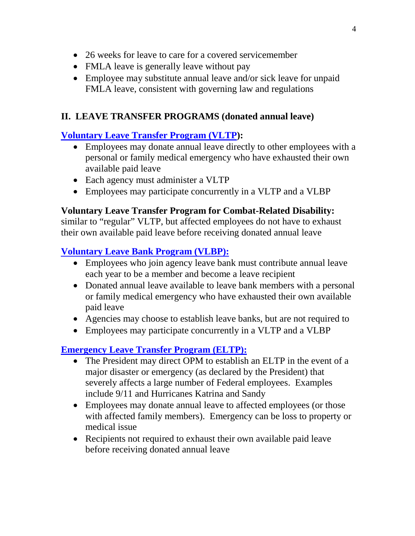- 26 weeks for leave to care for a covered servicemember
- FMLA leave is generally leave without pay
- Employee may substitute annual leave and/or sick leave for unpaid FMLA leave, consistent with governing law and regulations

# **II. LEAVE TRANSFER PROGRAMS (donated annual leave)**

# **[Voluntary Leave Transfer Program \(VLTP\)](http://www.opm.gov/policy-data-oversight/pay-leave/leave-administration/fact-sheets/voluntary-leave-transfer-program/):**

- Employees may donate annual leave directly to other employees with a personal or family medical emergency who have exhausted their own available paid leave
- Each agency must administer a VLTP
- Employees may participate concurrently in a VLTP and a VLBP

# **Voluntary Leave Transfer Program for Combat-Related Disability:**

similar to "regular" VLTP, but affected employees do not have to exhaust their own available paid leave before receiving donated annual leave

# **[Voluntary Leave Bank Program \(VLBP\):](http://www.opm.gov/policy-data-oversight/pay-leave/leave-administration/fact-sheets/voluntary-leave-bank-program/)**

- Employees who join agency leave bank must contribute annual leave each year to be a member and become a leave recipient
- Donated annual leave available to leave bank members with a personal or family medical emergency who have exhausted their own available paid leave
- Agencies may choose to establish leave banks, but are not required to
- Employees may participate concurrently in a VLTP and a VLBP

# **[Emergency Leave Transfer Program \(ELTP\):](http://www.opm.gov/policy-data-oversight/pay-leave/leave-administration/fact-sheets/emergency-leave-transfer-program/)**

- The President may direct OPM to establish an ELTP in the event of a major disaster or emergency (as declared by the President) that severely affects a large number of Federal employees. Examples include 9/11 and Hurricanes Katrina and Sandy
- Employees may donate annual leave to affected employees (or those with affected family members). Emergency can be loss to property or medical issue
- Recipients not required to exhaust their own available paid leave before receiving donated annual leave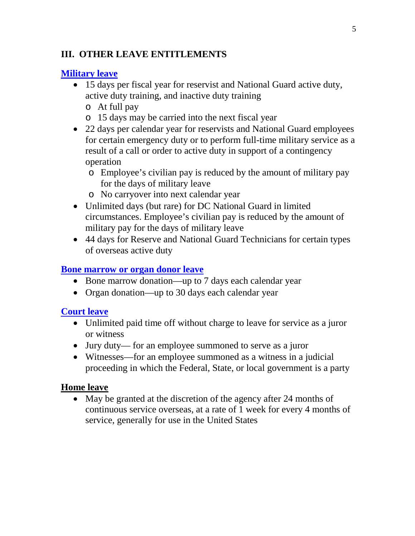### **III. OTHER LEAVE ENTITLEMENTS**

### **[Military leave](http://www.opm.gov/policy-data-oversight/pay-leave/pay-administration/fact-sheets/military-leave/)**

- 15 days per fiscal year for reservist and National Guard active duty, active duty training, and inactive duty training
	- o At full pay
	- o 15 days may be carried into the next fiscal year
- 22 days per calendar year for reservists and National Guard employees for certain emergency duty or to perform full-time military service as a result of a call or order to active duty in support of a contingency operation
	- o Employee's civilian pay is reduced by the amount of military pay for the days of military leave
	- o No carryover into next calendar year
- Unlimited days (but rare) for DC National Guard in limited circumstances. Employee's civilian pay is reduced by the amount of military pay for the days of military leave
- 44 days for Reserve and National Guard Technicians for certain types of overseas active duty

### **Bone marrow [or organ donor leave](http://www.opm.gov/policy-data-oversight/pay-leave/leave-administration/fact-sheets/bone-marrow-or-organ-donor-leave/)**

- Bone marrow donation—up to 7 days each calendar year
- Organ donation—up to 30 days each calendar year

#### **[Court leave](http://www.opm.gov/policy-data-oversight/pay-leave/leave-administration/fact-sheets/court-leave/)**

- Unlimited paid time off without charge to leave for service as a juror or witness
- Jury duty— for an employee summoned to serve as a juror
- Witnesses—for an employee summoned as a witness in a judicial proceeding in which the Federal, State, or local government is a party

#### **Home leave**

• May be granted at the discretion of the agency after 24 months of continuous service overseas, at a rate of 1 week for every 4 months of service, generally for use in the United States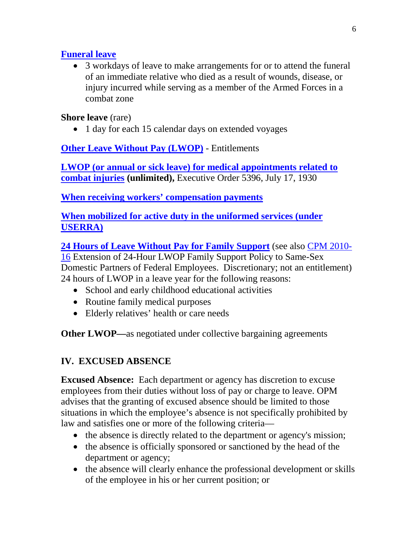# **[Funeral leave](http://www.opm.gov/policy-data-oversight/pay-leave/leave-administration/fact-sheets/leave-for-funerals-and-bereavement/)**

• 3 workdays of leave to make arrangements for or to attend the funeral of an immediate relative who died as a result of wounds, disease, or injury incurred while serving as a member of the Armed Forces in a combat zone

# **Shore leave** (rare)

• 1 day for each 15 calendar days on extended voyages

**[Other Leave Without Pay \(LWOP\)](http://www.opm.gov/policy-data-oversight/pay-leave/leave-administration/fact-sheets/leave-without-pay/)** - Entitlements

**[LWOP \(or annual or sick leave\) for medical appointments related to](http://www.opm.gov/policy-data-oversight/pay-leave/leave-administration/fact-sheets/leave-without-pay/)  [combat injuries](http://www.opm.gov/policy-data-oversight/pay-leave/leave-administration/fact-sheets/leave-without-pay/) (unlimited),** Executive Order 5396, July 17, 1930

**[When receiving workers' compensation payments](http://www.opm.gov/policy-data-oversight/pay-leave/leave-administration/fact-sheets/leave-without-pay/)**

**[When mobilized for active duty in the uniformed services \(under](http://www.opm.gov/policy-data-oversight/pay-leave/leave-administration/fact-sheets/leave-without-pay/)  [USERRA\)](http://www.opm.gov/policy-data-oversight/pay-leave/leave-administration/fact-sheets/leave-without-pay/)**

**[24 Hours of Leave Without Pay for Family Support](http://www.opm.gov/policy-data-oversight/pay-leave/leave-administration/fact-sheets/memorandum-for-the-head-of-executive-departments-and-agencies/)** (see also [CPM 2010-](http://www.chcoc.gov/Transmittals/TransmittalDetails.aspx?TransmittalID=3146) [16](http://www.chcoc.gov/Transmittals/TransmittalDetails.aspx?TransmittalID=3146) Extension of 24-Hour LWOP Family Support Policy to Same-Sex Domestic Partners of Federal Employees. Discretionary; not an entitlement) 24 hours of LWOP in a leave year for the following reasons:

- School and early childhood educational activities
- Routine family medical purposes
- Elderly relatives' health or care needs

**Other LWOP—**as negotiated under collective bargaining agreements

# **IV. EXCUSED ABSENCE**

**Excused Absence:** Each department or agency has discretion to excuse employees from their duties without loss of pay or charge to leave. OPM advises that the granting of excused absence should be limited to those situations in which the employee's absence is not specifically prohibited by law and satisfies one or more of the following criteria—

- the absence is directly related to the department or agency's mission;
- the absence is officially sponsored or sanctioned by the head of the department or agency;
- the absence will clearly enhance the professional development or skills of the employee in his or her current position; or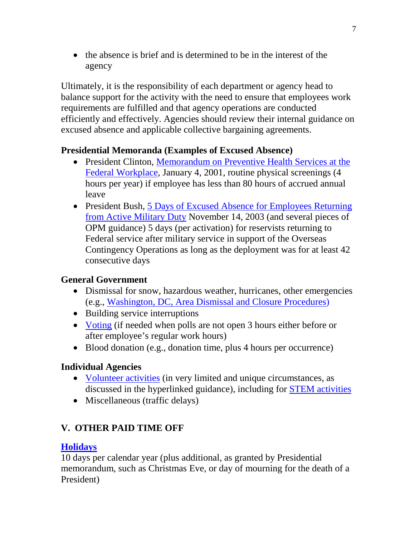• the absence is brief and is determined to be in the interest of the agency

Ultimately, it is the responsibility of each department or agency head to balance support for the activity with the need to ensure that employees work requirements are fulfilled and that agency operations are conducted efficiently and effectively. Agencies should review their internal guidance on excused absence and applicable collective bargaining agreements.

# **Presidential Memoranda (Examples of Excused Absence)**

- President Clinton, Memorandum on Preventive Health Services at the [Federal Workplace,](http://www.gpo.gov/fdsys/pkg/WCPD-2001-01-08/pdf/WCPD-2001-01-08-Pg11.pdf) January 4, 2001, routine physical screenings (4 hours per year) if employee has less than 80 hours of accrued annual leave
- President Bush, 5 Days of Excused Absence for Employees Returning [from Active Military Duty](http://www.opm.gov/policy-data-oversight/pay-leave/leave-administration/fact-sheets/5-days-of-excused-absence-for-employees-returning-from-active-military-duty/) November 14, 2003 (and several pieces of OPM guidance) 5 days (per activation) for reservists returning to Federal service after military service in support of the Overseas Contingency Operations as long as the deployment was for at least 42 consecutive days

# **General Government**

- Dismissal for snow, hazardous weather, hurricanes, other emergencies (e.g., [Washington, DC, Area Dismissal and Closure Procedures\)](http://www.opm.gov/policy-data-oversight/pay-leave/reference-materials/handbooks/dcdismissal.pdf)
- Building service interruptions
- [Voting](http://www.chcoc.gov/Transmittals/TransmittalDetails.aspx?TransmittalID=5057) (if needed when polls are not open 3 hours either before or after employee's regular work hours)
- Blood donation (e.g., donation time, plus 4 hours per occurrence)

# **Individual Agencies**

- [Volunteer activities](http://www.opm.gov/policy-data-oversight/pay-leave/leave-administration/fact-sheets/related-information/) (in very limited and unique circumstances, as discussed in the hyperlinked guidance), including for [STEM activities](https://chcoc.gov/transmittals/TransmittalDetails.aspx?TransmittalID=4968)
- Miscellaneous (traffic delays)

# **V. OTHER PAID TIME OFF**

# **[Holidays](http://www.opm.gov/policy-data-oversight/snow-dismissal-procedures/federal-holidays/#url=2014)**

10 days per calendar year (plus additional, as granted by Presidential memorandum, such as Christmas Eve, or day of mourning for the death of a President)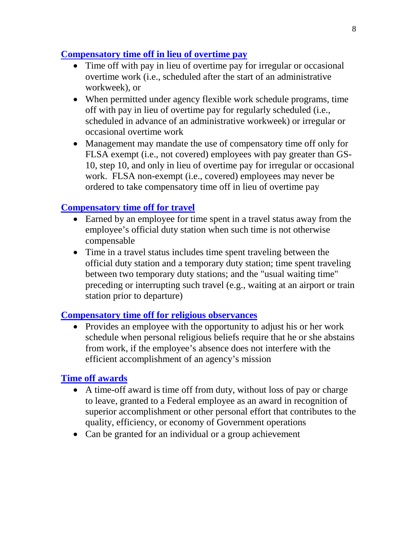### **[Compensatory time off in lieu of overtime pay](http://www.opm.gov/policy-data-oversight/pay-leave/pay-administration/fact-sheets/compensatory-time-off/)**

- Time off with pay in lieu of overtime pay for irregular or occasional overtime work (i.e., scheduled after the start of an administrative workweek), or
- When permitted under agency flexible work schedule programs, time off with pay in lieu of overtime pay for regularly scheduled (i.e., scheduled in advance of an administrative workweek) or irregular or occasional overtime work
- Management may mandate the use of compensatory time off only for FLSA exempt (i.e., not covered) employees with pay greater than GS-10, step 10, and only in lieu of overtime pay for irregular or occasional work. FLSA non-exempt (i.e., covered) employees may never be ordered to take compensatory time off in lieu of overtime pay

# **[Compensatory time off for travel](http://www.opm.gov/policy-data-oversight/pay-leave/pay-administration/fact-sheets/compensatory-time-off-for-travel/)**

- Earned by an employee for time spent in a travel status away from the employee's official duty station when such time is not otherwise compensable
- Time in a travel status includes time spent traveling between the official duty station and a temporary duty station; time spent traveling between two temporary duty stations; and the "usual waiting time" preceding or interrupting such travel (e.g., waiting at an airport or train station prior to departure)

#### **[Compensatory time off for religious observances](http://www.opm.gov/policy-data-oversight/pay-leave/work-schedules/fact-sheets/adjustment-of-work-schedules-for-religious-observances/)**

• Provides an employee with the opportunity to adjust his or her work schedule when personal religious beliefs require that he or she abstains from work, if the employee's absence does not interfere with the efficient accomplishment of an agency's mission

#### **[Time off awards](http://www.opm.gov/policy-data-oversight/performance-management/performance-management-cycle/rewarding/time-off-awards/)**

- A time-off award is time off from duty, without loss of pay or charge to leave, granted to a Federal employee as an award in recognition of superior accomplishment or other personal effort that contributes to the quality, efficiency, or economy of Government operations
- Can be granted for an individual or a group achievement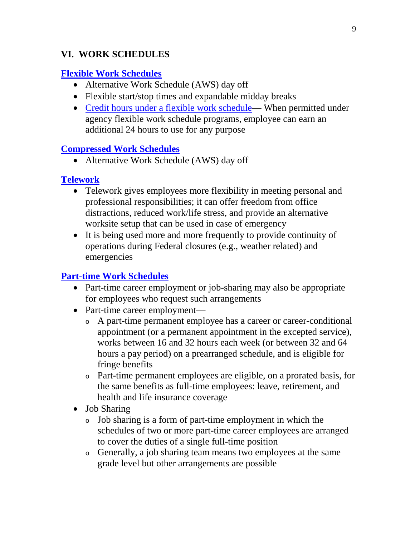### **VI. WORK SCHEDULES**

### **[Flexible Work Schedules](http://www.opm.gov/policy-data-oversight/pay-leave/reference-materials/handbooks/alternative-work-schedules/#Flex)**

- Alternative Work Schedule (AWS) day off
- Flexible start/stop times and expandable midday breaks
- [Credit hours under a flexible work schedule—](http://www.opm.gov/policy-data-oversight/pay-leave/work-schedules/fact-sheets/credit-hours-under-a-flexible-work-schedule/) When permitted under agency flexible work schedule programs, employee can earn an additional 24 hours to use for any purpose

#### **Compressed [Work Schedules](http://www.opm.gov/policy-data-oversight/pay-leave/reference-materials/handbooks/alternative-work-schedules/#Comp)**

• Alternative Work Schedule (AWS) day off

# **[Telework](http://www.telework.gov/Tools_and_Resources/Basics_Employees/index.aspx)**

- Telework gives employees more flexibility in meeting personal and professional responsibilities; it can offer freedom from office distractions, reduced work/life stress, and provide an alternative worksite setup that can be used in case of emergency
- It is being used more and more frequently to provide continuity of operations during Federal closures (e.g., weather related) and emergencies

# **[Part-time Work Schedules](http://www.opm.gov/policy-data-oversight/hiring-authorities/part-time-and-job-sharing/)**

- Part-time career employment or job-sharing may also be appropriate for employees who request such arrangements
- Part-time career employment
	- <sup>o</sup> A part-time permanent employee has a career or career-conditional appointment (or a permanent appointment in the excepted service), works between 16 and 32 hours each week (or between 32 and 64 hours a pay period) on a prearranged schedule, and is eligible for fringe benefits
	- <sup>o</sup> Part-time permanent employees are eligible, on a prorated basis, for the same benefits as full-time employees: leave, retirement, and health and life insurance coverage
- Job Sharing
	- <sup>o</sup> Job sharing is a form of part-time employment in which the schedules of two or more part-time career employees are arranged to cover the duties of a single full-time position
	- <sup>o</sup> Generally, a job sharing team means two employees at the same grade level but other arrangements are possible